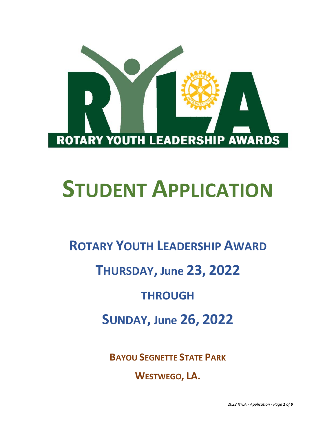

# **STUDENT APPLICATION**

**ROTARY YOUTH LEADERSHIP AWARD**

# **THURSDAY, June 23, 2022**

# **THROUGH**

**SUNDAY, June 26, 2022**

**BAYOU SEGNETTE STATE PARK**

**WESTWEGO, LA.**

*2022 RYLA - Application - Page 1 of 9*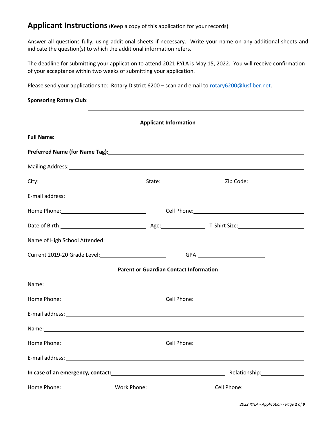# **Applicant Instructions**(Keep a copy of this application for your records)

Answer all questions fully, using additional sheets if necessary. Write your name on any additional sheets and indicate the question(s) to which the additional information refers.

The deadline for submitting your application to attend 2021 RYLA is May 15, 2022. You will receive confirmation of your acceptance within two weeks of submitting your application.

Please send your applications to: Rotary District 6200 – scan and email to [rotary6200@lusfiber.net.](mailto:rotary6200@lusfiber.net)

# **Sponsoring Rotary Club**: **Applicant Information Full Name: Preferred Name (for Name Tag):** Mailing Address: City: State: Zip Code: E-mail address: Home Phone: Cell Phone: Date of Birth: Age: T-Shirt Size: Name of High School Attended: Current 2019-20 Grade Level: GPA: **Parent or Guardian Contact Information** Name: Home Phone: The Cell Phone: The Cell Phone: The Cell Phone: The Cell Phone: The Cell Phone: The Cell Phone: The Cell Phone: The Cell Phone: The Cell Phone: The Cell Phone: The Cell Phone: The Cell Phone: The Cell Phone: Th E-mail address: Name: Home Phone: Cell Phone: E-mail address: Universe and Separation Community of the Community of the Community of the Community of the Community of the Community of the Community of the Community of the Community of the Community of the Community of **In case of an emergency, contact:** Relationship: Relationship: Relationship: Relationship: Relationship: Relationship: Relationship: Relationship: Relationship: Relationship: Relationship: Relationship: Relationship: Rela Home Phone: Work Phone: Cell Phone:

*2022 RYLA - Application - Page 2 of 9*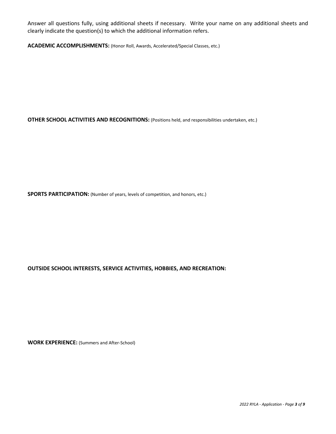Answer all questions fully, using additional sheets if necessary. Write your name on any additional sheets and clearly indicate the question(s) to which the additional information refers.

**ACADEMIC ACCOMPLISHMENTS:** (Honor Roll, Awards, Accelerated/Special Classes, etc.)

**OTHER SCHOOL ACTIVITIES AND RECOGNITIONS:** (Positions held, and responsibilities undertaken, etc.)

**SPORTS PARTICIPATION:** (Number of years, levels of competition, and honors, etc.)

**OUTSIDE SCHOOL INTERESTS, SERVICE ACTIVITIES, HOBBIES, AND RECREATION:**

**WORK EXPERIENCE:** (Summers and After-School)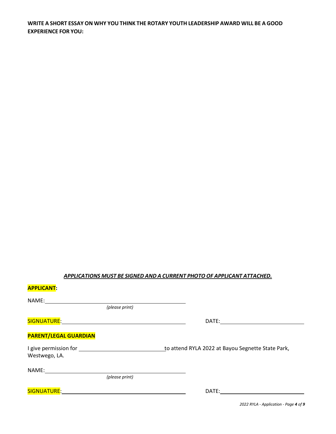**WRITE A SHORT ESSAY ON WHY YOU THINK THE ROTARY YOUTH LEADERSHIP AWARD WILL BE A GOOD EXPERIENCE FOR YOU:** 

### *APPLICATIONS MUST BE SIGNED AND A CURRENT PHOTO OF APPLICANT ATTACHED.*

#### **APPLICANT:**

| NAME: |  |  |  |
|-------|--|--|--|
|       |  |  |  |

*(please print)*

SIGNUATURE: DATE:

# **PARENT/LEGAL GUARDIAN**

| I give permission for | to attend RYLA 2022 at Bayou Segnette State Park, |
|-----------------------|---------------------------------------------------|
| Westwego, LA.         |                                                   |

NAME:

*(please print)*

SIGNUATURE: DATE:

*2022 RYLA - Application - Page 4 of 9*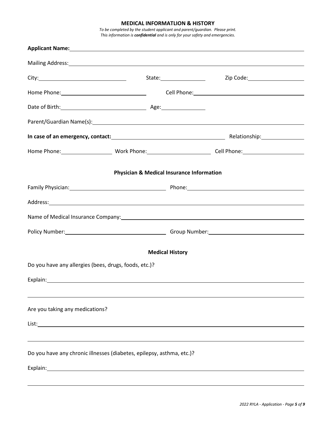### **MEDICAL INFORMATLION & HISTORY**

*To be completed by the student applicant and parent/guardian. Please print. This information is confidential and is only for your safety and emergencies.*

|                                                                       |                                                      | Mailing Address: 1988 Mailing Address: 1988 Mailing Address: 1988 Mailing Address: 1988 Mailing Address: 1988                                                                                                                  |
|-----------------------------------------------------------------------|------------------------------------------------------|--------------------------------------------------------------------------------------------------------------------------------------------------------------------------------------------------------------------------------|
|                                                                       |                                                      | Zip Code: _______________________                                                                                                                                                                                              |
|                                                                       |                                                      |                                                                                                                                                                                                                                |
|                                                                       |                                                      |                                                                                                                                                                                                                                |
|                                                                       |                                                      |                                                                                                                                                                                                                                |
|                                                                       |                                                      |                                                                                                                                                                                                                                |
|                                                                       |                                                      |                                                                                                                                                                                                                                |
|                                                                       | <b>Physician &amp; Medical Insurance Information</b> |                                                                                                                                                                                                                                |
|                                                                       |                                                      |                                                                                                                                                                                                                                |
|                                                                       |                                                      |                                                                                                                                                                                                                                |
|                                                                       |                                                      |                                                                                                                                                                                                                                |
|                                                                       |                                                      | Name of Medical Insurance Company: Name of the Company of the Company of the Company of the Company of the Company of the Company of the Company of the Company of the Company of the Company of the Company of the Company of |
|                                                                       |                                                      |                                                                                                                                                                                                                                |
|                                                                       | <b>Medical History</b>                               |                                                                                                                                                                                                                                |
| Do you have any allergies (bees, drugs, foods, etc.)?                 |                                                      |                                                                                                                                                                                                                                |
|                                                                       |                                                      |                                                                                                                                                                                                                                |
|                                                                       |                                                      |                                                                                                                                                                                                                                |
| Are you taking any medications?                                       |                                                      |                                                                                                                                                                                                                                |
|                                                                       |                                                      |                                                                                                                                                                                                                                |
|                                                                       |                                                      |                                                                                                                                                                                                                                |
| Do you have any chronic illnesses (diabetes, epilepsy, asthma, etc.)? |                                                      |                                                                                                                                                                                                                                |
|                                                                       |                                                      |                                                                                                                                                                                                                                |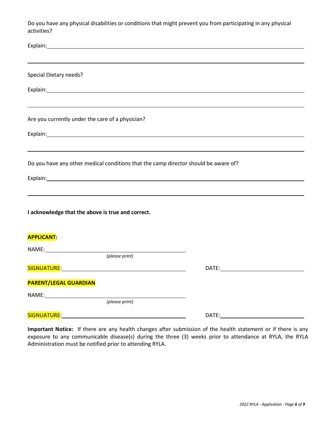Do you have any physical disabilities or conditions that might prevent you from participating in any physical activities?

| Special Dietary needs?                                                              |                                                                                                                                                                                                                                |
|-------------------------------------------------------------------------------------|--------------------------------------------------------------------------------------------------------------------------------------------------------------------------------------------------------------------------------|
| Explain: explain:                                                                   |                                                                                                                                                                                                                                |
| Are you currently under the care of a physician?                                    |                                                                                                                                                                                                                                |
| Explain: Explain:                                                                   |                                                                                                                                                                                                                                |
| Do you have any other medical conditions that the camp director should be aware of? |                                                                                                                                                                                                                                |
|                                                                                     |                                                                                                                                                                                                                                |
| I acknowledge that the above is true and correct.                                   |                                                                                                                                                                                                                                |
| <b>APPLICANT:</b>                                                                   |                                                                                                                                                                                                                                |
| (please print)                                                                      |                                                                                                                                                                                                                                |
|                                                                                     |                                                                                                                                                                                                                                |
| <b>PARENT/LEGAL GUARDIAN</b>                                                        |                                                                                                                                                                                                                                |
| (please print)                                                                      |                                                                                                                                                                                                                                |
| SIGNUATURE: www.alian.com/windows/windows/windows/                                  | DATE: the contract of the contract of the contract of the contract of the contract of the contract of the contract of the contract of the contract of the contract of the contract of the contract of the contract of the cont |

**Important Notice:** If there are any health changes after submission of the health statement or if there is any exposure to any communicable disease(s) during the three (3) weeks prior to attendance at RYLA, the RYLA Administration must be notified prior to attending RYLA.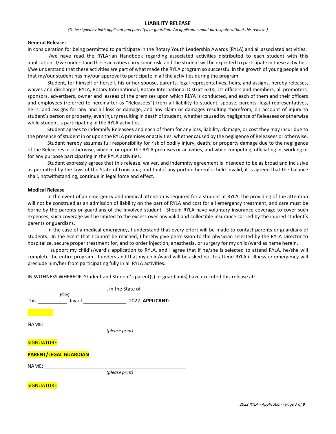#### **LIABILITY RELEASE**

*(To be signed by both applicant and parent(s) or guardian. An applicant cannot participate without this release.)*

#### **General Release:**

In consideration for being permitted to participate in the Rotary Youth Leadership Awards (RYLA) and all associated activities:

I/we have read the RYLArian Handbook regarding associated activities distributed to each student with this application. I/we understand these activities carry some risk, and the student will be expected to participate in these activities. I/we understand that these activities are part of what made the RYLA program so successful in the growth of young people and that my/our student has my/our approval to participate in all the activities during the program.

Student, for himself or herself, his or her spouse, parents, legal representatives, heirs, and assigns, hereby releases, waives and discharges RYLA, Rotary International, Rotary International District 6200, its officers and members, all promoters, sponsors, advertisers, owner and lessees of the premises upon which RLYA is conducted, and each of them and their officers and employees (referred to hereinafter as "Releasees") from all liability to student, spouse, parents, legal representatives, heirs, and assigns for any and all loss or damage, and any claim or damages resulting therefrom, on account of injury to student's person or property, even injury resulting in death of student, whether caused by negligence of Releasees or otherwise while student is participating in the RYLA activities.

Student agrees to indemnify Releasees and each of them for any loss, liability, damage, or cost they may incur due to the presence of student in or upon the RYLA premises or activities, whether caused by the negligence of Releasees or otherwise.

Student hereby assumes full responsibility for risk of bodily injury, death, or property damage due to the negligence of the Releasees or otherwise, while in or upon the RYLA premises or activities, and while competing, officiating in, working or for any purpose participating in the RYLA activities.

Student expressly agrees that this release, waiver, and indemnity agreement is intended to be as broad and inclusive as permitted by the laws of the State of Louisiana; and that if any portion hereof is held invalid, it is agreed that the balance shall, notwithstanding, continue in legal force and effect.

### **Medical Release**

In the event of an emergency and medical attention is required for a student at RYLA, the providing of the attention will not be construed as an admission of liability on the part of RYLA and cost for all emergency treatment, and care must be borne by the parents or guardians of the involved student. Should RYLA have voluntary insurance coverage to cover such expenses, such coverage will be limited to the excess over any valid and collectible insurance carried by the injured student's parents or guardians.

In the case of a medical emergency, I understand that every effort will be made to contact parents or guardians of students. In the event that I cannot be reached, I hereby give permission to the physician selected by the RYLA Director to hospitalize, secure proper treatment for, and to order injection, anesthesia, or surgery for my child/ward as name herein.

I support my child's/ward's application to RYLA, and I agree that if he/she is selected to attend RYLA, he/she will complete the entire program. I understand that my child/ward will be asked not to attend RYLA if illness or emergency will preclude him/her from participating fully in all RYLA activities.

IN WITHNESS WHEREOF, Student and Student's parent(s) or guardian(s) have executed this release at:

|             |                              | <u>shipmen and the State of substantial property</u> |  |
|-------------|------------------------------|------------------------------------------------------|--|
|             | (City)                       |                                                      |  |
|             |                              |                                                      |  |
|             |                              |                                                      |  |
|             |                              |                                                      |  |
|             |                              |                                                      |  |
|             | NAME:                        | (please print)                                       |  |
|             |                              |                                                      |  |
|             |                              |                                                      |  |
|             | <b>PARENT/LEGAL GUARDIAN</b> |                                                      |  |
|             |                              |                                                      |  |
|             |                              |                                                      |  |
|             |                              | (please print)                                       |  |
| SIGNUATURE: |                              |                                                      |  |
|             |                              |                                                      |  |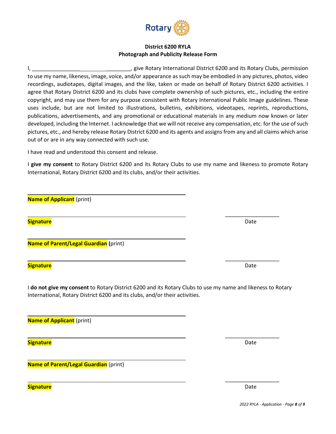

# **District 6200 RYLA Photograph and Publicity Release Form**

I, \_\_\_\_\_\_\_\_\_\_\_\_\_\_\_\_ \_\_\_\_\_\_\_\_, give Rotary International District 6200 and its Rotary Clubs, permission to use my name, likeness, image, voice, and/or appearance as such may be embodied in any pictures, photos, video recordings, audiotapes, digital images, and the like, taken or made on behalf of Rotary District 6200 activities. I agree that Rotary District 6200 and its clubs have complete ownership of such pictures, etc., including the entire copyright, and may use them for any purpose consistent with Rotary International Public Image guidelines. These uses include, but are not limited to illustrations, bulletins, exhibitions, videotapes, reprints, reproductions, publications, advertisements, and any promotional or educational materials in any medium now known or later developed, including the Internet. I acknowledge that we will not receive any compensation, etc. for the use of such pictures, etc., and hereby release Rotary District 6200 and its agents and assigns from any and all claims which arise out of or are in any way connected with such use.

I have read and understood this consent and release.

I **give my consent** to Rotary District 6200 and its Rotary Clubs to use my name and likeness to promote Rotary International, Rotary District 6200 and its clubs, and/or their activities.

**Name of Applicant** (print)

**Signature** Date **Date of the Contract of the Contract of the Contract of the Contract of the Date** 

**Name of Parent/Legal Guardian (**print)

**Signature** Date **Date of the Contract of the Contract of the Contract of the Contract of the Date** 

I **do not give my consent** to Rotary District 6200 and its Rotary Clubs to use my name and likeness to Rotary International, Rotary District 6200 and its clubs, and/or their activities.

**Name of Applicant** (print)

**Signature** Date **Date of the Contract of the Contract of the Contract of the Contract of the Date** 

**Name of Parent/Legal Guardian** (print)

**Signature** Date **Date of the Contract of the Contract of the Contract of the Contract of the Date** 

\_\_\_\_\_\_\_\_\_\_\_\_\_\_\_\_\_\_



\_\_\_\_\_\_\_\_\_\_\_\_\_\_\_\_\_\_

 $\overline{\phantom{a}}$  , where the contract of the contract of the contract of the contract of the contract of the contract of the contract of the contract of the contract of the contract of the contract of the contract of the contr

\_\_\_\_\_\_\_\_\_\_\_\_\_\_\_\_\_\_